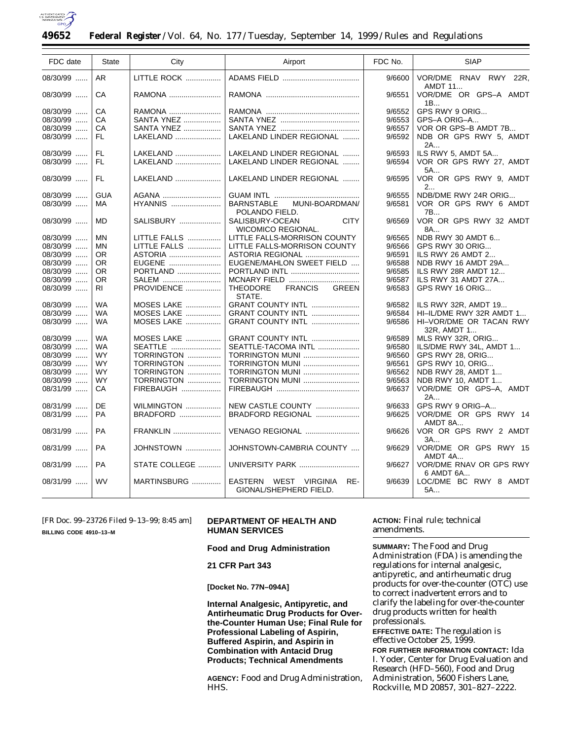

# **49652 Federal Register** / Vol. 64, No. 177 /Tuesday, September 14, 1999 /Rules and Regulations

| FDC date       | State      | City               | Airport                                                     | FDC No. | <b>SIAP</b>                                 |
|----------------|------------|--------------------|-------------------------------------------------------------|---------|---------------------------------------------|
| 08/30/99       | <b>AR</b>  | LITTLE ROCK        |                                                             | 9/6600  | VOR/DME RNAV RWY 22R,<br><b>AMDT 11</b>     |
| 08/30/99       | CA         | RAMONA             |                                                             | 9/6551  | VOR/DME OR GPS-A AMDT<br>1B                 |
| 08/30/99       | CA         | RAMONA             |                                                             | 9/6552  | GPS RWY 9 ORIG                              |
| 08/30/99       | CA         | SANTA YNEZ         |                                                             | 9/6553  | GPS-A ORIG-A                                |
| 08/30/99       | CA         | SANTA YNEZ         |                                                             | 9/6557  | VOR OR GPS-B AMDT 7B                        |
| $08/30/99$     | <b>FL</b>  | LAKELAND           | LAKELAND LINDER REGIONAL                                    | 9/6592  | NDB OR GPS RWY 5, AMDT<br>2A                |
| 08/30/99    FL |            | LAKELAND           | LAKELAND LINDER REGIONAL                                    | 9/6593  | ILS RWY 5, AMDT 5A                          |
| $08/30/99$     | FL.        | LAKELAND           | LAKELAND LINDER REGIONAL                                    | 9/6594  | VOR OR GPS RWY 27, AMDT<br>5A               |
| 08/30/99    FL |            | LAKELAND           | LAKELAND LINDER REGIONAL                                    | 9/6595  | VOR OR GPS RWY 9, AMDT<br>2                 |
| $08/30/99$     | <b>GUA</b> | AGANA              |                                                             | 9/6555  | NDB/DME RWY 24R ORIG                        |
| 08/30/99       | MA         | <b>HYANNIS</b>     | MUNI-BOARDMAN/<br><b>BARNSTABLE</b>                         | 9/6581  | VOR OR GPS RWY 6 AMDT                       |
|                |            |                    | POLANDO FIELD.                                              |         | 7B                                          |
| 08/30/99       | MD         | SALISBURY          | SALISBURY-OCEAN<br><b>CITY</b>                              | 9/6569  | VOR OR GPS RWY 32 AMDT                      |
|                |            |                    | <b>WICOMICO REGIONAL.</b>                                   |         | 8A                                          |
| $08/30/99$     | <b>MN</b>  | LITTLE FALLS       | LITTLE FALLS-MORRISON COUNTY                                | 9/6565  | NDB RWY 30 AMDT 6                           |
| 08/30/99       | MN         | LITTLE FALLS       | LITTLE FALLS-MORRISON COUNTY                                | 9/6566  | GPS RWY 30 ORIG                             |
| 08/30/99       | <b>OR</b>  | ASTORIA            | ASTORIA REGIONAL                                            | 9/6591  | ILS RWY 26 AMDT 2                           |
| 08/30/99       | <b>OR</b>  | EUGENE             | EUGENE/MAHLON SWEET FIELD                                   | 9/6588  | NDB RWY 16 AMDT 29A                         |
| 08/30/99       | <b>OR</b>  | PORTLAND           | PORTLAND INTL                                               | 9/6585  | ILS RWY 28R AMDT 12                         |
| 08/30/99       | <b>OR</b>  | SALEM              |                                                             | 9/6587  | ILS RWY 31 AMDT 27A                         |
| $08/30/99$     | RI         | PROVIDENCE         | <b>FRANCIS</b><br><b>THEODORE</b><br><b>GREEN</b><br>STATE. | 9/6583  | GPS RWY 16 ORIG                             |
| 08/30/99       | <b>WA</b>  | <b>MOSES LAKE </b> | GRANT COUNTY INTL                                           | 9/6582  | ILS RWY 32R, AMDT 19                        |
| 08/30/99       | <b>WA</b>  | <b>MOSES LAKE </b> | GRANT COUNTY INTL                                           | 9/6584  | HI-IL/DME RWY 32R AMDT 1                    |
| 08/30/99       | <b>WA</b>  | <b>MOSES LAKE</b>  | <b>GRANT COUNTY INTL </b>                                   | 9/6586  | HI-VOR/DME OR TACAN RWY<br>32R, AMDT 1      |
| 08/30/99       | <b>WA</b>  | <b>MOSES LAKE </b> | GRANT COUNTY INTL                                           | 9/6589  | MLS RWY 32R, ORIG                           |
| 08/30/99       | <b>WA</b>  | <b>SEATTLE</b>     | SEATTLE-TACOMA INTL                                         | 9/6580  | ILS/DME RWY 34L, AMDT 1                     |
| 08/30/99       | <b>WY</b>  | TORRINGTON         | TORRINGTON MUNI                                             | 9/6560  | GPS RWY 28, ORIG                            |
| 08/30/99       | <b>WY</b>  | TORRINGTON         | TORRINGTON MUNI                                             | 9/6561  | GPS RWY 10, ORIG                            |
| 08/30/99       | <b>WY</b>  | TORRINGTON         | TORRINGTON MUNI                                             | 9/6562  | NDB RWY 28, AMDT 1                          |
| 08/30/99       | <b>WY</b>  | TORRINGTON         | TORRINGTON MUNI                                             | 9/6563  | NDB RWY 10. AMDT 1                          |
| 08/31/99       | СA         | FIREBAUGH          |                                                             | 9/6637  | VOR/DME OR GPS-A, AMDT<br>2A                |
| 08/31/99       | <b>DE</b>  | WILMINGTON         | NEW CASTLE COUNTY                                           | 9/6633  | GPS RWY 9 ORIG-A                            |
| 08/31/99       | <b>PA</b>  | <b>BRADFORD</b>    | BRADFORD REGIONAL                                           | 9/6625  | VOR/DME OR GPS RWY 14<br>AMDT 8A            |
| 08/31/99    PA |            | FRANKLIN           | <b>VENAGO REGIONAL </b>                                     | 9/6626  | VOR OR GPS RWY 2 AMDT<br>3A                 |
| 08/31/99       | <b>PA</b>  | JOHNSTOWN          | JOHNSTOWN-CAMBRIA COUNTY                                    | 9/6629  | VOR/DME OR GPS RWY 15<br>AMDT 4A            |
| 08/31/99    PA |            | STATE COLLEGE      | UNIVERSITY PARK                                             | 9/6627  | <b>VOR/DME RNAV OR GPS RWY</b><br>6 AMDT 6A |
| $08/31/99$     | <b>WV</b>  | MARTINSBURG        | EASTERN WEST VIRGINIA RE-<br>GIONAL/SHEPHERD FIELD.         | 9/6639  | LOC/DME BC RWY 8 AMDT<br>5A                 |
|                |            |                    |                                                             |         |                                             |

[FR Doc. 99–23726 Filed 9–13–99; 8:45 am] **BILLING CODE 4910–13–M**

# **DEPARTMENT OF HEALTH AND HUMAN SERVICES**

# **Food and Drug Administration**

**21 CFR Part 343**

**[Docket No. 77N–094A]**

**Internal Analgesic, Antipyretic, and Antirheumatic Drug Products for Overthe-Counter Human Use; Final Rule for Professional Labeling of Aspirin, Buffered Aspirin, and Aspirin in Combination with Antacid Drug Products; Technical Amendments**

**AGENCY:** Food and Drug Administration, HHS.

**ACTION:** Final rule; technical amendments.

**SUMMARY:** The Food and Drug Administration (FDA) is amending the regulations for internal analgesic, antipyretic, and antirheumatic drug products for over-the-counter (OTC) use to correct inadvertent errors and to clarify the labeling for over-the-counter drug products written for health professionals.

**EFFECTIVE DATE:** The regulation is effective October 25, 1999.

**FOR FURTHER INFORMATION CONTACT:** Ida I. Yoder, Center for Drug Evaluation and Research (HFD–560), Food and Drug Administration, 5600 Fishers Lane, Rockville, MD 20857, 301–827–2222.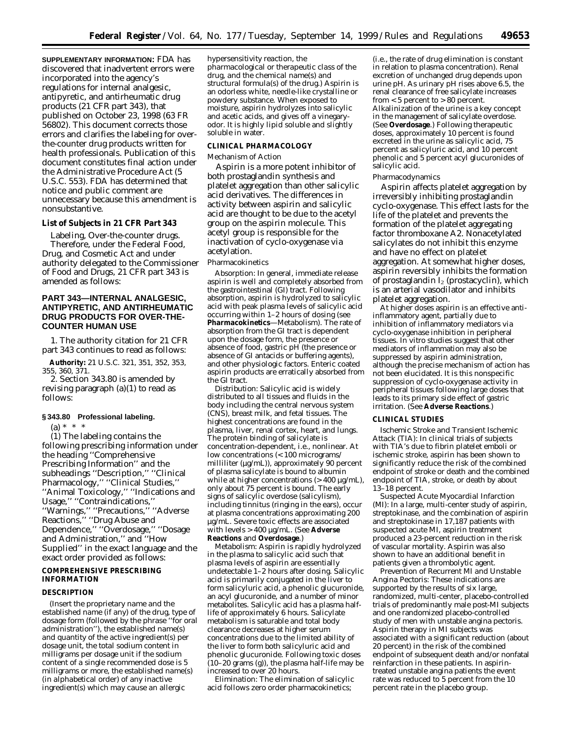**SUPPLEMENTARY INFORMATION:** FDA has discovered that inadvertent errors were incorporated into the agency's regulations for internal analgesic, antipyretic, and antirheumatic drug products (21 CFR part 343), that published on October 23, 1998 (63 FR 56802). This document corrects those errors and clarifies the labeling for overthe-counter drug products written for health professionals. Publication of this document constitutes final action under the Administrative Procedure Act (5 U.S.C. 553). FDA has determined that notice and public comment are unnecessary because this amendment is nonsubstantive.

#### **List of Subjects in 21 CFR Part 343**

Labeling, Over-the-counter drugs. Therefore, under the Federal Food, Drug, and Cosmetic Act and under authority delegated to the Commissioner of Food and Drugs, 21 CFR part 343 is amended as follows:

# **PART 343—INTERNAL ANALGESIC, ANTIPYRETIC, AND ANTIRHEUMATIC DRUG PRODUCTS FOR OVER-THE-COUNTER HUMAN USE**

1. The authority citation for 21 CFR part 343 continues to read as follows:

**Authority:** 21 U.S.C. 321, 351, 352, 353, 355, 360, 371.

2. Section 343.80 is amended by revising paragraph  $(a)(1)$  to read as follows:

### **§ 343.80 Professional labeling.**

 $(a) * * * *$ 

(1) The labeling contains the following prescribing information under the heading ''Comprehensive Prescribing Information'' and the subheadings ''Description,'' ''Clinical Pharmacology," "Clinical Studies, ''Animal Toxicology,'' ''Indications and Usage,'' ''Contraindications,'' ''Warnings,'' ''Precautions,'' ''Adverse Reactions,'' ''Drug Abuse and Dependence,'' ''Overdosage,'' ''Dosage and Administration,'' and ''How Supplied'' in the exact language and the exact order provided as follows:

# **COMPREHENSIVE PRESCRIBING INFORMATION**

# **DESCRIPTION**

(*Insert the proprietary name and the established name (if any) of the drug, type of dosage form (followed by the phrase ''for oral administration''), the established name(s) and quantity of the active ingredient(s) per dosage unit, the total sodium content in milligrams per dosage unit if the sodium content of a single recommended dose is 5 milligrams or more, the established name(s) (in alphabetical order) of any inactive ingredient(s) which may cause an allergic*

*hypersensitivity reaction, the pharmacological or therapeutic class of the drug, and the chemical name(s) and structural formula(s) of the drug*.) Aspirin is an odorless white, needle-like crystalline or powdery substance. When exposed to moisture, aspirin hydrolyzes into salicylic and acetic acids, and gives off a vinegaryodor. It is highly lipid soluble and slightly soluble in water.

# **CLINICAL PHARMACOLOGY**

#### Mechanism of Action

Aspirin is a more potent inhibitor of both prostaglandin synthesis and platelet aggregation than other salicylic acid derivatives. The differences in activity between aspirin and salicylic acid are thought to be due to the acetyl group on the aspirin molecule. This acetyl group is responsible for the inactivation of cyclo-oxygenase via acetylation.

#### Pharmacokinetics

*Absorption:* In general, immediate release aspirin is well and completely absorbed from the gastrointestinal (GI) tract. Following absorption, aspirin is hydrolyzed to salicylic acid with peak plasma levels of salicylic acid occurring within 1–2 hours of dosing (see **Pharmacokinetics**—*Metabolism*). The rate of absorption from the GI tract is dependent upon the dosage form, the presence or absence of food, gastric pH (the presence or absence of GI antacids or buffering agents), and other physiologic factors. Enteric coated aspirin products are erratically absorbed from the GI tract.

*Distribution:* Salicylic acid is widely distributed to all tissues and fluids in the body including the central nervous system (CNS), breast milk, and fetal tissues. The highest concentrations are found in the plasma, liver, renal cortex, heart, and lungs. The protein binding of salicylate is concentration-dependent, i.e., nonlinear. At low concentrations (< 100 micrograms/ milliliter (µg/mL)), approximately 90 percent of plasma salicylate is bound to albumin while at higher concentrations  $(> 400 \mu g/mL)$ , only about 75 percent is bound. The early signs of salicylic overdose (salicylism), including tinnitus (ringing in the ears), occur at plasma concentrations approximating 200 µg/mL. Severe toxic effects are associated with levels > 400 µg/mL. (See **Adverse Reactions** and **Overdosage**.)

*Metabolism:* Aspirin is rapidly hydrolyzed in the plasma to salicylic acid such that plasma levels of aspirin are essentially undetectable 1–2 hours after dosing. Salicylic acid is primarily conjugated in the liver to form salicyluric acid, a phenolic glucuronide, an acyl glucuronide, and a number of minor metabolites. Salicylic acid has a plasma halflife of approximately 6 hours. Salicylate metabolism is saturable and total body clearance decreases at higher serum concentrations due to the limited ability of the liver to form both salicyluric acid and phenolic glucuronide. Following toxic doses (10–20 grams (g)), the plasma half-life may be increased to over 20 hours.

*Elimination:* The elimination of salicylic acid follows zero order pharmacokinetics;

(i.e., the rate of drug elimination is constant in relation to plasma concentration). Renal excretion of unchanged drug depends upon urine pH. As urinary pH rises above 6.5, the renal clearance of free salicylate increases from < 5 percent to > 80 percent. Alkalinization of the urine is a key concept in the management of salicylate overdose. (See **Overdosage**.) Following therapeutic doses, approximately 10 percent is found excreted in the urine as salicylic acid, 75 percent as salicyluric acid, and 10 percent phenolic and 5 percent acyl glucuronides of salicylic acid.

#### Pharmacodynamics

Aspirin affects platelet aggregation by irreversibly inhibiting prostaglandin cyclo-oxygenase. This effect lasts for the life of the platelet and prevents the formation of the platelet aggregating factor thromboxane A2. Nonacetylated salicylates do not inhibit this enzyme and have no effect on platelet aggregation. At somewhat higher doses, aspirin reversibly inhibits the formation of prostaglandin  $I_2$  (prostacyclin), which is an arterial vasodilator and inhibits platelet aggregation.

At higher doses aspirin is an effective antiinflammatory agent, partially due to inhibition of inflammatory mediators via cyclo-oxygenase inhibition in peripheral tissues. In vitro studies suggest that other mediators of inflammation may also be suppressed by aspirin administration, although the precise mechanism of action has not been elucidated. It is this nonspecific suppression of cyclo-oxygenase activity in peripheral tissues following large doses that leads to its primary side effect of gastric irritation. (See **Adverse Reactions**.)

#### **CLINICAL STUDIES**

*Ischemic Stroke and Transient Ischemic Attack (TIA):* In clinical trials of subjects with TIA's due to fibrin platelet emboli or ischemic stroke, aspirin has been shown to significantly reduce the risk of the combined endpoint of stroke or death and the combined endpoint of TIA, stroke, or death by about 13–18 percent.

*Suspected Acute Myocardial Infarction (MI):* In a large, multi-center study of aspirin, streptokinase, and the combination of aspirin and streptokinase in 17,187 patients with suspected acute MI, aspirin treatment produced a 23-percent reduction in the risk of vascular mortality. Aspirin was also shown to have an additional benefit in patients given a thrombolytic agent.

*Prevention of Recurrent MI and Unstable Angina Pectoris:* These indications are supported by the results of six large, randomized, multi-center, placebo-controlled trials of predominantly male post-MI subjects and one randomized placebo-controlled study of men with unstable angina pectoris. Aspirin therapy in MI subjects was associated with a significant reduction (about 20 percent) in the risk of the combined endpoint of subsequent death and/or nonfatal reinfarction in these patients. In aspirintreated unstable angina patients the event rate was reduced to 5 percent from the 10 percent rate in the placebo group.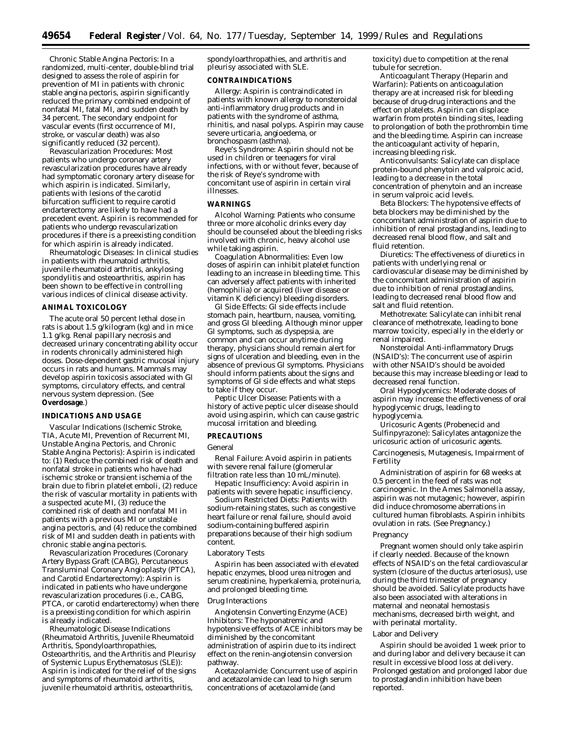*Chronic Stable Angina Pectoris:* In a randomized, multi-center, double-blind trial designed to assess the role of aspirin for prevention of MI in patients with chronic stable angina pectoris, aspirin significantly reduced the primary combined endpoint of nonfatal MI, fatal MI, and sudden death by 34 percent. The secondary endpoint for vascular events (first occurrence of MI, stroke, or vascular death) was also significantly reduced (32 percent).

*Revascularization Procedures:* Most patients who undergo coronary artery revascularization procedures have already had symptomatic coronary artery disease for which aspirin is indicated. Similarly, patients with lesions of the carotid bifurcation sufficient to require carotid endarterectomy are likely to have had a precedent event. Aspirin is recommended for patients who undergo revascularization procedures if there is a preexisting condition for which aspirin is already indicated.

*Rheumatologic Diseases:* In clinical studies in patients with rheumatoid arthritis, juvenile rheumatoid arthritis, ankylosing spondylitis and osteoarthritis, aspirin has been shown to be effective in controlling various indices of clinical disease activity.

#### **ANIMAL TOXICOLOGY**

The acute oral 50 percent lethal dose in rats is about 1.5 g/kilogram (kg) and in mice 1.1 g/kg. Renal papillary necrosis and decreased urinary concentrating ability occur in rodents chronically administered high doses. Dose-dependent gastric mucosal injury occurs in rats and humans. Mammals may develop aspirin toxicosis associated with GI symptoms, circulatory effects, and central nervous system depression. (See **Overdosage**.)

#### **INDICATIONS AND USAGE**

*Vascular Indications (Ischemic Stroke, TIA, Acute MI, Prevention of Recurrent MI, Unstable Angina Pectoris, and Chronic Stable Angina Pectoris):* Aspirin is indicated to: (1) Reduce the combined risk of death and nonfatal stroke in patients who have had ischemic stroke or transient ischemia of the brain due to fibrin platelet emboli, (2) reduce the risk of vascular mortality in patients with a suspected acute MI, (3) reduce the combined risk of death and nonfatal MI in patients with a previous MI or unstable angina pectoris, and (4) reduce the combined risk of MI and sudden death in patients with chronic stable angina pectoris.

*Revascularization Procedures (Coronary Artery Bypass Graft (CABG), Percutaneous Transluminal Coronary Angioplasty (PTCA), and Carotid Endarterectomy):* Aspirin is indicated in patients who have undergone revascularization procedures (i.e., CABG, PTCA, or carotid endarterectomy) when there is a preexisting condition for which aspirin is already indicated.

*Rheumatologic Disease Indications (Rheumatoid Arthritis, Juvenile Rheumatoid Arthritis, Spondyloarthropathies, Osteoarthritis, and the Arthritis and Pleurisy of Systemic Lupus Erythematosus (SLE)):* Aspirin is indicated for the relief of the signs and symptoms of rheumatoid arthritis, juvenile rheumatoid arthritis, osteoarthritis,

spondyloarthropathies, and arthritis and pleurisy associated with SLE.

### **CONTRAINDICATIONS**

*Allergy:* Aspirin is contraindicated in patients with known allergy to nonsteroidal anti-inflammatory drug products and in patients with the syndrome of asthma, rhinitis, and nasal polyps. Aspirin may cause severe urticaria, angioedema, or bronchospasm (asthma).

*Reye's Syndrome:* Aspirin should not be used in children or teenagers for viral infections, with or without fever, because of the risk of Reye's syndrome with concomitant use of aspirin in certain viral illnesses.

### **WARNINGS**

*Alcohol Warning:* Patients who consume three or more alcoholic drinks every day should be counseled about the bleeding risks involved with chronic, heavy alcohol use while taking aspirin.

*Coagulation Abnormalities:* Even low doses of aspirin can inhibit platelet function leading to an increase in bleeding time. This can adversely affect patients with inherited (hemophilia) or acquired (liver disease or vitamin K deficiency) bleeding disorders.

*GI Side Effects:* GI side effects include stomach pain, heartburn, nausea, vomiting, and gross GI bleeding. Although minor upper GI symptoms, such as dyspepsia, are common and can occur anytime during therapy, physicians should remain alert for signs of ulceration and bleeding, even in the absence of previous GI symptoms. Physicians should inform patients about the signs and symptoms of GI side effects and what steps to take if they occur.

*Peptic Ulcer Disease:* Patients with a history of active peptic ulcer disease should avoid using aspirin, which can cause gastric mucosal irritation and bleeding.

### **PRECAUTIONS**

#### General

*Renal Failure:* Avoid aspirin in patients with severe renal failure (glomerular filtration rate less than 10 mL/minute).

*Hepatic Insufficiency:* Avoid aspirin in patients with severe hepatic insufficiency.

*Sodium Restricted Diets:* Patients with sodium-retaining states, such as congestive heart failure or renal failure, should avoid sodium-containing buffered aspirin preparations because of their high sodium content.

### Laboratory Tests

Aspirin has been associated with elevated hepatic enzymes, blood urea nitrogen and serum creatinine, hyperkalemia, proteinuria, and prolonged bleeding time.

#### Drug Interactions

*Angiotensin Converting Enzyme (ACE) Inhibitors:* The hyponatremic and hypotensive effects of ACE inhibitors may be diminished by the concomitant administration of aspirin due to its indirect effect on the renin-angiotensin conversion pathway.

*Acetazolamide:* Concurrent use of aspirin and acetazolamide can lead to high serum concentrations of acetazolamide (and

toxicity) due to competition at the renal tubule for secretion.

*Anticoagulant Therapy (Heparin and Warfarin):* Patients on anticoagulation therapy are at increased risk for bleeding because of drug-drug interactions and the effect on platelets. Aspirin can displace warfarin from protein binding sites, leading to prolongation of both the prothrombin time and the bleeding time. Aspirin can increase the anticoagulant activity of heparin, increasing bleeding risk.

*Anticonvulsants:* Salicylate can displace protein-bound phenytoin and valproic acid, leading to a decrease in the total concentration of phenytoin and an increase in serum valproic acid levels.

*Beta Blockers:* The hypotensive effects of beta blockers may be diminished by the concomitant administration of aspirin due to inhibition of renal prostaglandins, leading to decreased renal blood flow, and salt and fluid retention.

*Diuretics:* The effectiveness of diuretics in patients with underlying renal or cardiovascular disease may be diminished by the concomitant administration of aspirin due to inhibition of renal prostaglandins, leading to decreased renal blood flow and salt and fluid retention.

*Methotrexate:* Salicylate can inhibit renal clearance of methotrexate, leading to bone marrow toxicity, especially in the elderly or renal impaired.

*Nonsteroidal Anti-inflammatory Drugs (NSAID's):* The concurrent use of aspirin with other NSAID's should be avoided because this may increase bleeding or lead to decreased renal function.

*Oral Hypoglycemics:* Moderate doses of aspirin may increase the effectiveness of oral hypoglycemic drugs, leading to hypoglycemia.

*Uricosuric Agents (Probenecid and Sulfinpyrazone):* Salicylates antagonize the uricosuric action of uricosuric agents.

Carcinogenesis, Mutagenesis, Impairment of **Fertility** 

Administration of aspirin for 68 weeks at 0.5 percent in the feed of rats was not carcinogenic. In the Ames Salmonella assay, aspirin was not mutagenic; however, aspirin did induce chromosome aberrations in cultured human fibroblasts. Aspirin inhibits ovulation in rats. (See *Pregnancy*.)

### Pregnancy

Pregnant women should only take aspirin if clearly needed. Because of the known effects of NSAID's on the fetal cardiovascular system (closure of the ductus arteriosus), use during the third trimester of pregnancy should be avoided. Salicylate products have also been associated with alterations in maternal and neonatal hemostasis mechanisms, decreased birth weight, and with perinatal mortality.

### Labor and Delivery

Aspirin should be avoided 1 week prior to and during labor and delivery because it can result in excessive blood loss at delivery. Prolonged gestation and prolonged labor due to prostaglandin inhibition have been reported.